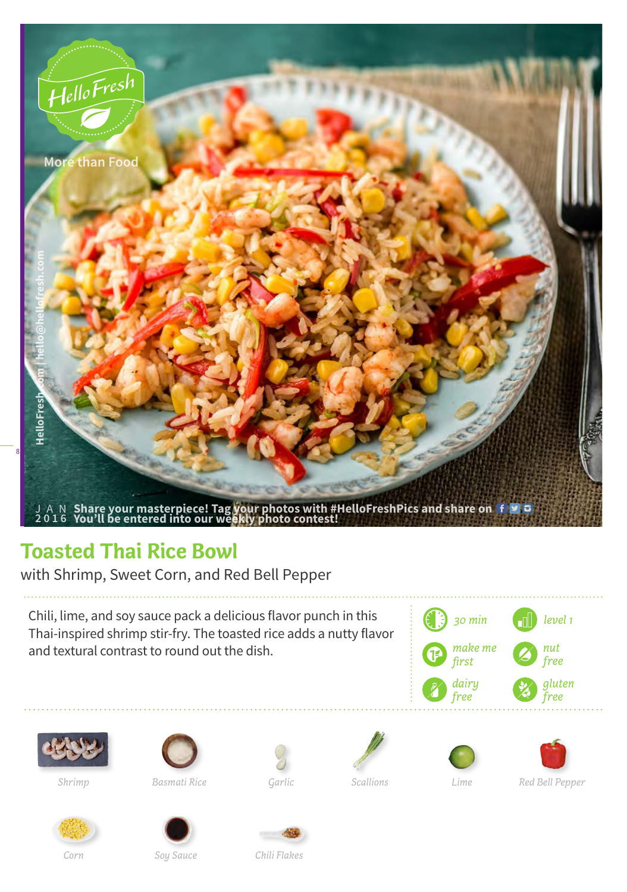

## **Toasted Thai Rice Bowl**

with Shrimp, Sweet Corn, and Red Bell Pepper

Chili, lime, and soy sauce pack a delicious flavor punch in this Thai-inspired shrimp stir-fry. The toasted rice adds a nutty flavor and textural contrast to round out the dish.















*Shrimp Basmati Rice Garlic Scallions Lime Red Bell Pepper*



*Soy Sauce Chili Flakes*